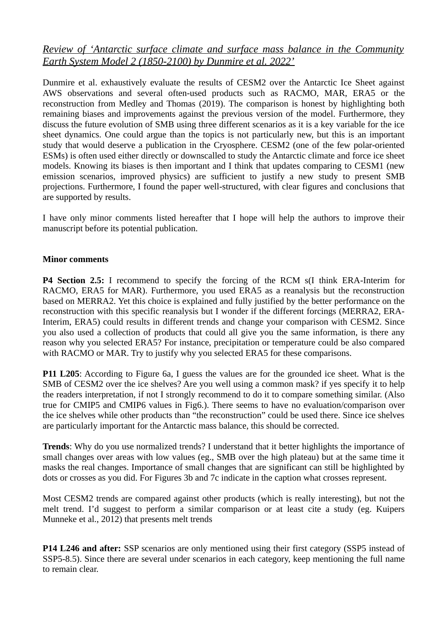## *Review of 'Antarctic surface climate and surface mass balance in the Community Earth System Model 2 (1850-2100) by Dunmire et al. 2022'*

Dunmire et al. exhaustively evaluate the results of CESM2 over the Antarctic Ice Sheet against AWS observations and several often-used products such as RACMO, MAR, ERA5 or the reconstruction from Medley and Thomas (2019). The comparison is honest by highlighting both remaining biases and improvements against the previous version of the model. Furthermore, they discuss the future evolution of SMB using three different scenarios as it is a key variable for the ice sheet dynamics. One could argue than the topics is not particularly new, but this is an important study that would deserve a publication in the Cryosphere. CESM2 (one of the few polar-oriented ESMs) is often used either directly or downscalled to study the Antarctic climate and force ice sheet models. Knowing its biases is then important and I think that updates comparing to CESM1 (new emission scenarios, improved physics) are sufficient to justify a new study to present SMB projections. Furthermore, I found the paper well-structured, with clear figures and conclusions that are supported by results.

I have only minor comments listed hereafter that I hope will help the authors to improve their manuscript before its potential publication.

## **Minor comments**

**P4 Section 2.5:** I recommend to specify the forcing of the RCM s(I think ERA-Interim for RACMO, ERA5 for MAR). Furthermore, you used ERA5 as a reanalysis but the reconstruction based on MERRA2. Yet this choice is explained and fully justified by the better performance on the reconstruction with this specific reanalysis but I wonder if the different forcings (MERRA2, ERA-Interim, ERA5) could results in different trends and change your comparison with CESM2. Since you also used a collection of products that could all give you the same information, is there any reason why you selected ERA5? For instance, precipitation or temperature could be also compared with RACMO or MAR. Try to justify why you selected ERA5 for these comparisons.

**P11 L205**: According to Figure 6a, I guess the values are for the grounded ice sheet. What is the SMB of CESM2 over the ice shelves? Are you well using a common mask? if yes specify it to help the readers interpretation, if not I strongly recommend to do it to compare something similar. (Also true for CMIP5 and CMIP6 values in Fig6.). There seems to have no evaluation/comparison over the ice shelves while other products than "the reconstruction" could be used there. Since ice shelves are particularly important for the Antarctic mass balance, this should be corrected.

**Trends**: Why do you use normalized trends? I understand that it better highlights the importance of small changes over areas with low values (eg., SMB over the high plateau) but at the same time it masks the real changes. Importance of small changes that are significant can still be highlighted by dots or crosses as you did. For Figures 3b and 7c indicate in the caption what crosses represent.

Most CESM2 trends are compared against other products (which is really interesting), but not the melt trend. I'd suggest to perform a similar comparison or at least cite a study (eg. Kuipers Munneke et al., 2012) that presents melt trends

**P14 L246 and after:** SSP scenarios are only mentioned using their first category (SSP5 instead of SSP5-8.5). Since there are several under scenarios in each category, keep mentioning the full name to remain clear.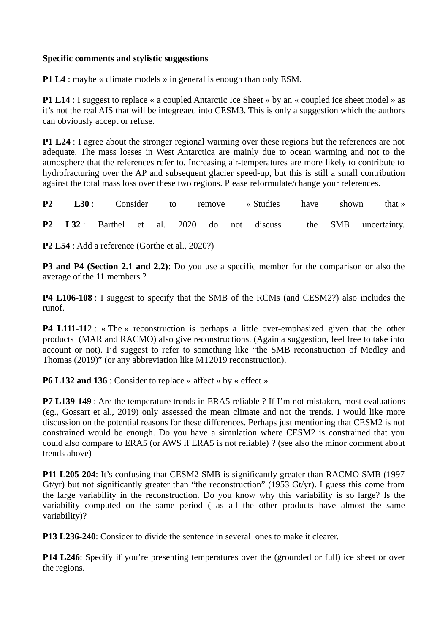## **Specific comments and stylistic suggestions**

**P1 L4** : maybe « climate models » in general is enough than only ESM.

**P1 L14** : I suggest to replace « a coupled Antarctic Ice Sheet » by an « coupled ice sheet model » as it's not the real AIS that will be integreaed into CESM3. This is only a suggestion which the authors can obviously accept or refuse.

**P1 L24** : I agree about the stronger regional warming over these regions but the references are not adequate. The mass losses in West Antarctica are mainly due to ocean warming and not to the atmosphere that the references refer to. Increasing air-temperatures are more likely to contribute to hydrofracturing over the AP and subsequent glacier speed-up, but this is still a small contribution against the total mass loss over these two regions. Please reformulate/change your references.

|  |  |  |  | <b>P2 L30</b> : Consider to remove «Studies have shown that » |  |  |                                                                 |
|--|--|--|--|---------------------------------------------------------------|--|--|-----------------------------------------------------------------|
|  |  |  |  |                                                               |  |  | P2 L32: Barthel et al. 2020 do not discuss the SMB uncertainty. |

**P2 L54** : Add a reference (Gorthe et al., 2020?)

**P3 and P4 (Section 2.1 and 2.2)**: Do you use a specific member for the comparison or also the average of the 11 members ?

**P4 L106-108** : I suggest to specify that the SMB of the RCMs (and CESM2?) also includes the runof.

**P4 L111-11**2 : « The » reconstruction is perhaps a little over-emphasized given that the other products (MAR and RACMO) also give reconstructions. (Again a suggestion, feel free to take into account or not). I'd suggest to refer to something like "the SMB reconstruction of Medley and Thomas (2019)" (or any abbreviation like MT2019 reconstruction).

**P6 L132 and 136** : Consider to replace « affect » by « effect ».

**P7 L139-149** : Are the temperature trends in ERA5 reliable ? If I'm not mistaken, most evaluations (eg., Gossart et al., 2019) only assessed the mean climate and not the trends. I would like more discussion on the potential reasons for these differences. Perhaps just mentioning that CESM2 is not constrained would be enough. Do you have a simulation where CESM2 is constrained that you could also compare to ERA5 (or AWS if ERA5 is not reliable) ? (see also the minor comment about trends above)

**P11 L205-204**: It's confusing that CESM2 SMB is significantly greater than RACMO SMB (1997 Gt/yr) but not significantly greater than "the reconstruction" (1953 Gt/yr). I guess this come from the large variability in the reconstruction. Do you know why this variability is so large? Is the variability computed on the same period ( as all the other products have almost the same variability)?

**P13 L236-240**: Consider to divide the sentence in several ones to make it clearer.

**P14 L246**: Specify if you're presenting temperatures over the (grounded or full) ice sheet or over the regions.